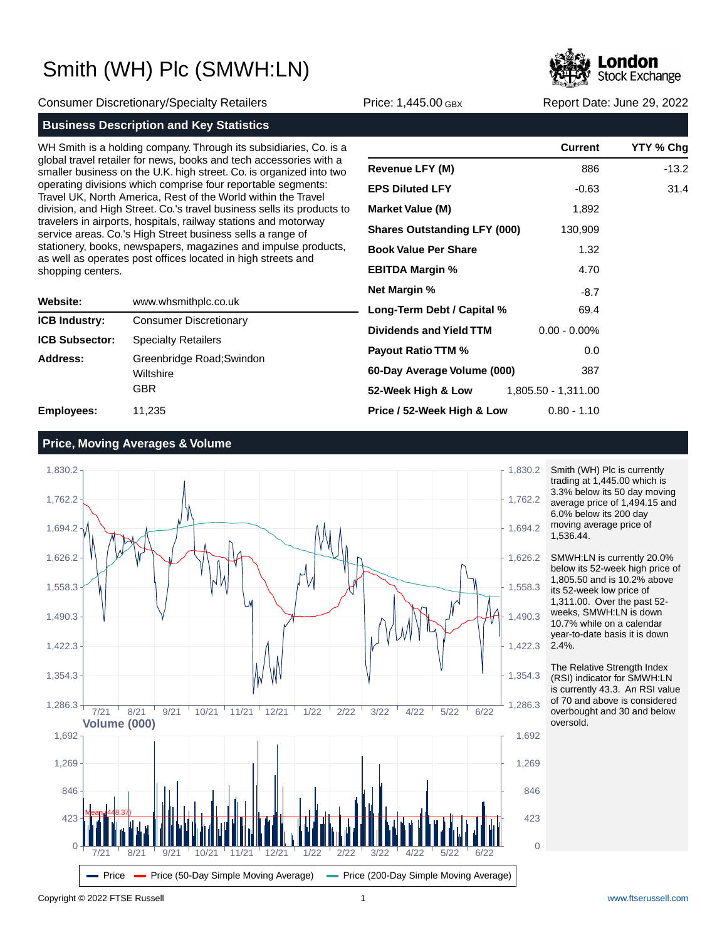

Consumer Discretionary/Specialty Retailers Price: 1,445.00 GBX Report Date: June 29, 2022

### **Business Description and Key Statistics**

WH Smith is a holding company. Through its subsidiaries, Co. is a global travel retailer for news, books and tech accessories with a smaller business on the U.K. high street. Co. is organized into two operating divisions which comprise four reportable segments: Travel UK, North America, Rest of the World within the Travel division, and High Street. Co.'s travel business sells its products to travelers in airports, hospitals, railway stations and motorway service areas. Co.'s High Street business sells a range of stationery, books, newspapers, magazines and impulse products, as well as operates post offices located in high streets and shopping centers.

| Website:              | www.whsmithplc.co.uk                                 |
|-----------------------|------------------------------------------------------|
| <b>ICB Industry:</b>  | <b>Consumer Discretionary</b>                        |
| <b>ICB Subsector:</b> | <b>Specialty Retailers</b>                           |
| Address:              | Greenbridge Road; Swindon<br>Wiltshire<br><b>GBR</b> |
| <b>Employees:</b>     | 11,235                                               |

|                                        | Current         | YTY % Chg |
|----------------------------------------|-----------------|-----------|
| Revenue LFY (M)                        | 886             | $-13.2$   |
| <b>EPS Diluted LFY</b>                 | $-0.63$         | 31.4      |
| <b>Market Value (M)</b>                | 1,892           |           |
| <b>Shares Outstanding LFY (000)</b>    | 130,909         |           |
| <b>Book Value Per Share</b>            | 1.32            |           |
| <b>EBITDA Margin %</b>                 | 4.70            |           |
| Net Margin %                           | $-8.7$          |           |
| Long-Term Debt / Capital %             | 69.4            |           |
| <b>Dividends and Yield TTM</b>         | $0.00 - 0.00\%$ |           |
| <b>Payout Ratio TTM %</b>              | 0.0             |           |
| 60-Day Average Volume (000)            | 387             |           |
| 52-Week High & Low 1,805.50 - 1,311.00 |                 |           |
| Price / 52-Week High & Low             | $0.80 - 1.10$   |           |

### **Price, Moving Averages & Volume**



Smith (WH) Plc is currently trading at 1,445.00 which is 3.3% below its 50 day moving average price of 1,494.15 and 6.0% below its 200 day moving average price of 1,536.44.

SMWH:LN is currently 20.0% below its 52-week high price of 1,805.50 and is 10.2% above its 52-week low price of 1,311.00. Over the past 52 weeks, SMWH:LN is down 10.7% while on a calendar year-to-date basis it is down 2.4%.

The Relative Strength Index (RSI) indicator for SMWH:LN is currently 43.3. An RSI value of 70 and above is considered overbought and 30 and below oversold.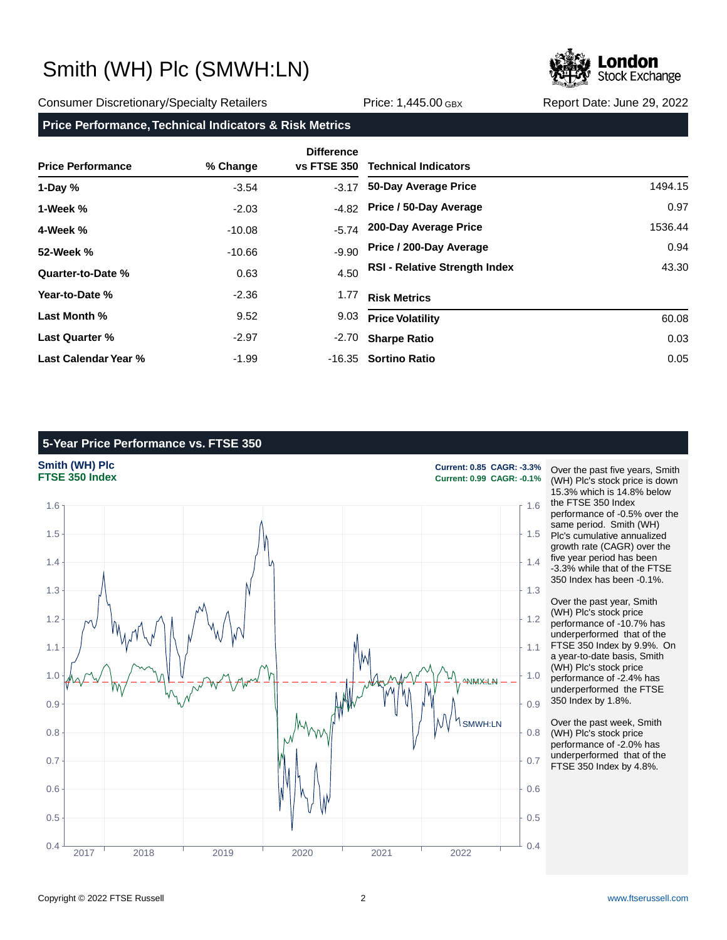

#### Consumer Discretionary/Specialty Retailers **Price: 1,445.00 GBX** Report Date: June 29, 2022

### **Price Performance, Technical Indicators & Risk Metrics**

| <b>Price Performance</b> | % Change | <b>Difference</b><br><b>vs FTSE 350</b> | <b>Technical Indicators</b>          |         |
|--------------------------|----------|-----------------------------------------|--------------------------------------|---------|
| 1-Day $%$                | $-3.54$  | $-3.17$                                 | 50-Day Average Price                 | 1494.15 |
| 1-Week %                 | $-2.03$  | $-4.82$                                 | Price / 50-Day Average               | 0.97    |
| 4-Week %                 | $-10.08$ | $-5.74$                                 | 200-Day Average Price                | 1536.44 |
| 52-Week %                | $-10.66$ | $-9.90$                                 | Price / 200-Day Average              | 0.94    |
| Quarter-to-Date %        | 0.63     | 4.50                                    | <b>RSI - Relative Strength Index</b> | 43.30   |
| Year-to-Date %           | $-2.36$  | 1.77                                    | <b>Risk Metrics</b>                  |         |
| Last Month %             | 9.52     | 9.03                                    | <b>Price Volatility</b>              | 60.08   |
| <b>Last Quarter %</b>    | $-2.97$  | -2.70                                   | <b>Sharpe Ratio</b>                  | 0.03    |
| Last Calendar Year %     | $-1.99$  |                                         | -16.35 Sortino Ratio                 | 0.05    |

### **5-Year Price Performance vs. FTSE 350**



Over the past five years, Smith (WH) Plc's stock price is down 15.3% which is 14.8% below the FTSE 350 Index performance of -0.5% over the same period. Smith (WH) Plc's cumulative annualized growth rate (CAGR) over the five year period has been -3.3% while that of the FTSE 350 Index has been -0.1%.

Over the past year, Smith (WH) Plc's stock price performance of -10.7% has underperformed that of the FTSE 350 Index by 9.9%. On a year-to-date basis, Smith (WH) Plc's stock price performance of -2.4% has underperformed the FTSE 350 Index by 1.8%.

Over the past week, Smith (WH) Plc's stock price performance of -2.0% has underperformed that of the FTSE 350 Index by 4.8%.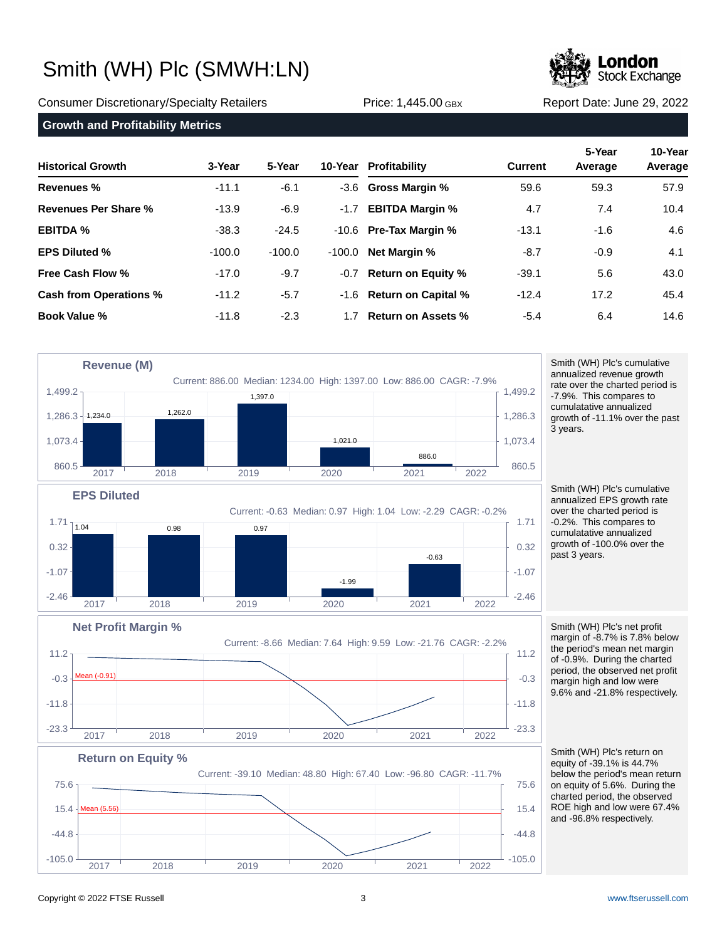

Consumer Discretionary/Specialty Retailers Price: 1,445.00 GBX Report Date: June 29, 2022

### **Growth and Profitability Metrics**

| <b>Historical Growth</b>      | 3-Year   | 5-Year   |          | 10-Year Profitability     | <b>Current</b> | 5-Year<br>Average | 10-Year<br>Average |
|-------------------------------|----------|----------|----------|---------------------------|----------------|-------------------|--------------------|
| <b>Revenues %</b>             | $-11.1$  | $-6.1$   |          | -3.6 Gross Margin %       | 59.6           | 59.3              | 57.9               |
| Revenues Per Share %          | $-13.9$  | $-6.9$   | $-1.7$   | <b>EBITDA Margin %</b>    | 4.7            | 7.4               | 10.4               |
| <b>EBITDA %</b>               | $-38.3$  | $-24.5$  |          | $-10.6$ Pre-Tax Margin %  | $-13.1$        | $-1.6$            | 4.6                |
| <b>EPS Diluted %</b>          | $-100.0$ | $-100.0$ | $-100.0$ | <b>Net Margin %</b>       | $-8.7$         | $-0.9$            | 4.1                |
| Free Cash Flow %              | $-17.0$  | $-9.7$   |          | -0.7 Return on Equity %   | $-39.1$        | 5.6               | 43.0               |
| <b>Cash from Operations %</b> | $-11.2$  | $-5.7$   |          | -1.6 Return on Capital %  | $-12.4$        | 17.2              | 45.4               |
| <b>Book Value %</b>           | $-11.8$  | $-2.3$   | 17       | <b>Return on Assets %</b> | $-5.4$         | 6.4               | 14.6               |



2017 2018 2019 2020 2021 2022

Smith (WH) Plc's cumulative annualized revenue growth rate over the charted period is -7.9%. This compares to cumulatative annualized growth of -11.1% over the past 3 years.

Smith (WH) Plc's cumulative annualized EPS growth rate over the charted period is -0.2%. This compares to cumulatative annualized growth of -100.0% over the past 3 years.

Smith (WH) Plc's net profit margin of -8.7% is 7.8% below the period's mean net margin of -0.9%. During the charted period, the observed net profit margin high and low were 9.6% and -21.8% respectively.

Smith (WH) Plc's return on equity of -39.1% is 44.7% below the period's mean return on equity of 5.6%. During the charted period, the observed ROE high and low were 67.4% and -96.8% respectively.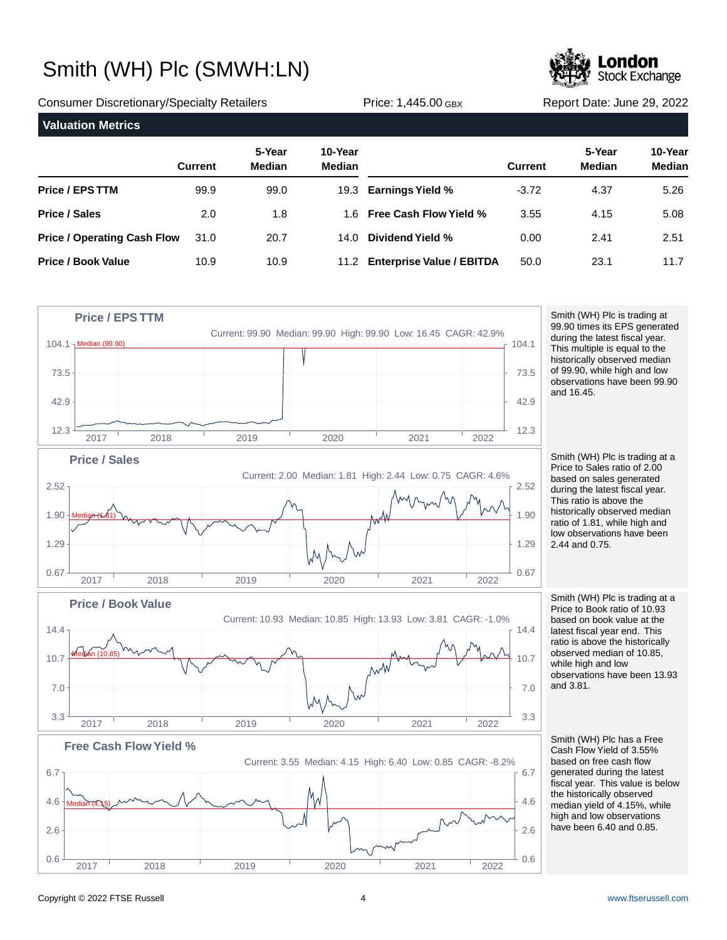

Consumer Discretionary/Specialty Retailers Price: 1,445.00 GBX Report Date: June 29, 2022

| <b>Valuation Metrics</b>           |                |                         |                   |                                |                |                         |                          |  |
|------------------------------------|----------------|-------------------------|-------------------|--------------------------------|----------------|-------------------------|--------------------------|--|
|                                    | <b>Current</b> | 5-Year<br><b>Median</b> | 10-Year<br>Median |                                | <b>Current</b> | 5-Year<br><b>Median</b> | 10-Year<br><b>Median</b> |  |
| <b>Price / EPS TTM</b>             | 99.9           | 99.0                    |                   | 19.3 Earnings Yield %          | $-3.72$        | 4.37                    | 5.26                     |  |
| Price / Sales                      | 2.0            | 1.8                     |                   | 1.6 Free Cash Flow Yield %     | 3.55           | 4.15                    | 5.08                     |  |
| <b>Price / Operating Cash Flow</b> | 31.0           | 20.7                    | 14.0              | Dividend Yield %               | 0.00           | 2.41                    | 2.51                     |  |
| <b>Price / Book Value</b>          | 10.9           | 10.9                    |                   | 11.2 Enterprise Value / EBITDA | 50.0           | 23.1                    | 11.7                     |  |



Smith (WH) Plc is trading at 99.90 times its EPS generated during the latest fiscal year. This multiple is equal to the historically observed median of 99.90, while high and low observations have been 99.90 and 16.45.

Smith (WH) Plc is trading at a Price to Sales ratio of 2.00 based on sales generated during the latest fiscal year. This ratio is above the historically observed median ratio of 1.81, while high and low observations have been 2.44 and 0.75.

Smith (WH) Plc is trading at a Price to Book ratio of 10.93 based on book value at the latest fiscal year end. This ratio is above the historically observed median of 10.85, while high and low observations have been 13.93 and 3.81.

Smith (WH) Plc has a Free Cash Flow Yield of 3.55% based on free cash flow generated during the latest fiscal year. This value is below the historically observed median yield of 4.15%, while high and low observations have been 6.40 and 0.85.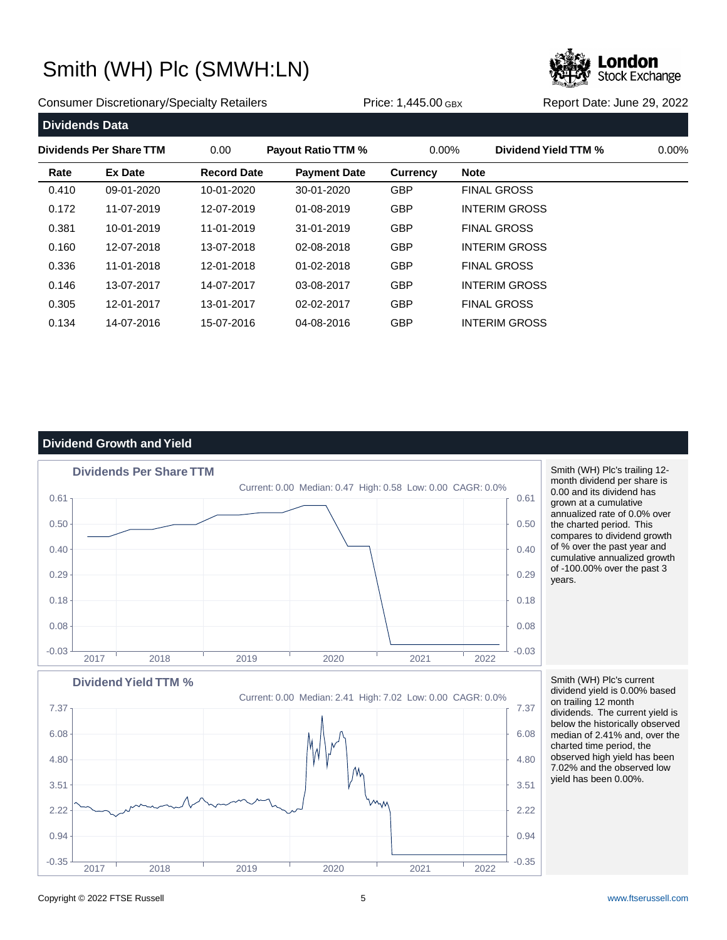

Consumer Discretionary/Specialty Retailers **Price: 1,445.00 GBX** Report Date: June 29, 2022

| <b>Dividends Data</b> |                         |                    |                           |                 |                      |          |
|-----------------------|-------------------------|--------------------|---------------------------|-----------------|----------------------|----------|
|                       | Dividends Per Share TTM | 0.00               | <b>Payout Ratio TTM %</b> | $0.00\%$        | Dividend Yield TTM % | $0.00\%$ |
| Rate                  | <b>Ex Date</b>          | <b>Record Date</b> | <b>Payment Date</b>       | <b>Currency</b> | <b>Note</b>          |          |
| 0.410                 | 09-01-2020              | 10-01-2020         | 30-01-2020                | <b>GBP</b>      | <b>FINAL GROSS</b>   |          |
| 0.172                 | 11-07-2019              | 12-07-2019         | 01-08-2019                | <b>GBP</b>      | <b>INTERIM GROSS</b> |          |
| 0.381                 | 10-01-2019              | 11-01-2019         | 31-01-2019                | <b>GBP</b>      | <b>FINAL GROSS</b>   |          |
| 0.160                 | 12-07-2018              | 13-07-2018         | 02-08-2018                | <b>GBP</b>      | <b>INTERIM GROSS</b> |          |
| 0.336                 | 11-01-2018              | 12-01-2018         | 01-02-2018                | <b>GBP</b>      | <b>FINAL GROSS</b>   |          |
| 0.146                 | 13-07-2017              | 14-07-2017         | 03-08-2017                | <b>GBP</b>      | <b>INTERIM GROSS</b> |          |
| 0.305                 | 12-01-2017              | 13-01-2017         | 02-02-2017                | <b>GBP</b>      | <b>FINAL GROSS</b>   |          |
| 0.134                 | 14-07-2016              | 15-07-2016         | 04-08-2016                | <b>GBP</b>      | <b>INTERIM GROSS</b> |          |

### **Dividend Growth and Yield**



Smith (WH) Plc's trailing 12 month dividend per share is 0.00 and its dividend has grown at a cumulative annualized rate of 0.0% over the charted period. This compares to dividend growth of % over the past year and cumulative annualized growth of -100.00% over the past 3 years.



Smith (WH) Plc's current dividend yield is 0.00% based on trailing 12 month dividends. The current yield is below the historically observed median of 2.41% and, over the charted time period, the observed high yield has been 7.02% and the observed low yield has been 0.00%.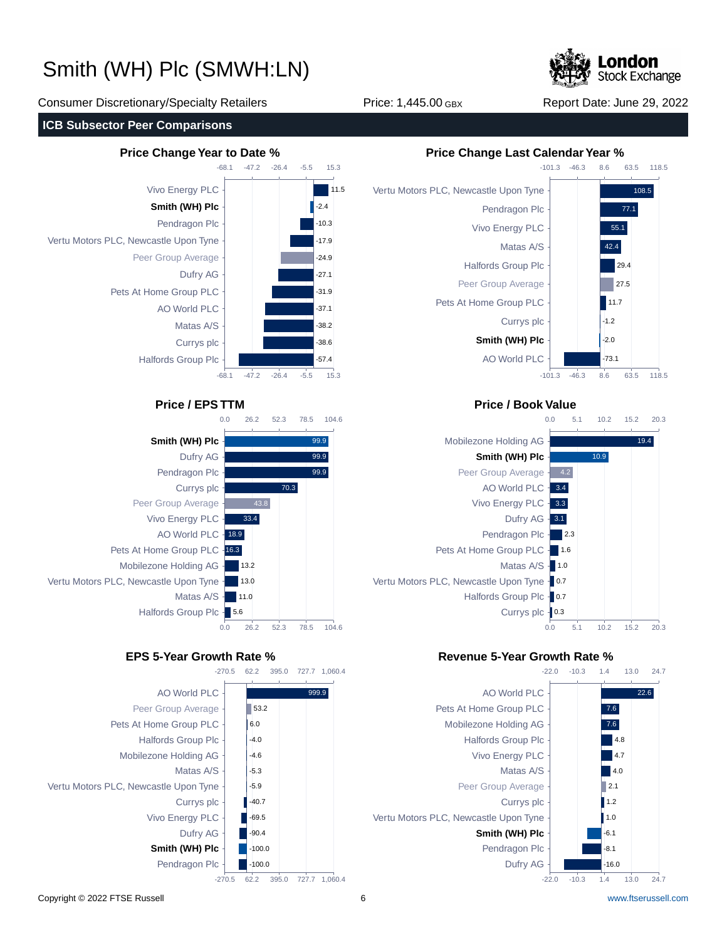

Consumer Discretionary/Specialty Retailers Price: 1,445.00 GBX Report Date: June 29, 2022

### **ICB Subsector Peer Comparisons**











### **Price / EPS TTM Price / Book Value**



### **EPS 5-Year Growth Rate % Revenue 5-Year Growth Rate %**

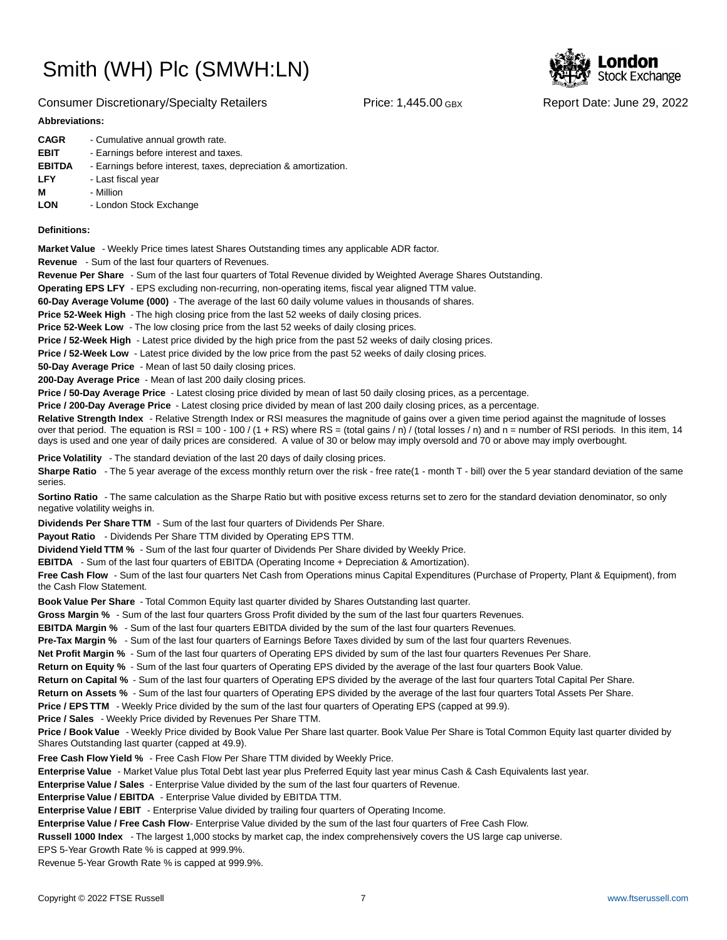

#### Consumer Discretionary/Specialty Retailers Price: 1,445.00 GBX Report Date: June 29, 2022

#### **Abbreviations:**

| - Cumulative annual growth rate.                                |
|-----------------------------------------------------------------|
| - Earnings before interest and taxes.                           |
| - Earnings before interest, taxes, depreciation & amortization. |
| - Last fiscal year                                              |
| - Million                                                       |
| - London Stock Exchange                                         |
|                                                                 |

#### **Definitions:**

**Market Value** - Weekly Price times latest Shares Outstanding times any applicable ADR factor.

**Revenue** - Sum of the last four quarters of Revenues.

**Revenue Per Share** - Sum of the last four quarters of Total Revenue divided by Weighted Average Shares Outstanding.

**Operating EPS LFY** - EPS excluding non-recurring, non-operating items, fiscal year aligned TTM value.

60-Day Average Volume (000) - The average of the last 60 daily volume values in thousands of shares.

**Price 52-Week High** - The high closing price from the last 52 weeks of daily closing prices.

**Price 52-Week Low** - The low closing price from the last 52 weeks of daily closing prices.

**Price / 52-Week High** - Latest price divided by the high price from the past 52 weeks of daily closing prices.

**Price / 52-Week Low** - Latest price divided by the low price from the past 52 weeks of daily closing prices.

**50-Day Average Price** - Mean of last 50 daily closing prices.

**200-Day Average Price** - Mean of last 200 daily closing prices.

Price / 50-Day Average Price - Latest closing price divided by mean of last 50 daily closing prices, as a percentage.

**Price / 200-Day Average Price** - Latest closing price divided by mean of last 200 daily closing prices, as a percentage.

Relative Strength Index - Relative Strength Index or RSI measures the magnitude of gains over a given time period against the magnitude of losses over that period. The equation is RSI = 100 - 100 / (1 + RS) where RS = (total gains / n) / (total losses / n) and n = number of RSI periods. In this item, 14 days is used and one year of daily prices are considered. A value of 30 or below may imply oversold and 70 or above may imply overbought.

**Price Volatility** - The standard deviation of the last 20 days of daily closing prices.

Sharpe Ratio - The 5 year average of the excess monthly return over the risk - free rate(1 - month T - bill) over the 5 year standard deviation of the same series.

**Sortino Ratio** - The same calculation as the Sharpe Ratio but with positive excess returns set to zero for the standard deviation denominator, so only negative volatility weighs in.

**Dividends Per Share TTM** - Sum of the last four quarters of Dividends Per Share.

Payout Ratio - Dividends Per Share TTM divided by Operating EPS TTM.

**Dividend Yield TTM %** - Sum of the last four quarter of Dividends Per Share divided by Weekly Price.

**EBITDA** - Sum of the last four quarters of EBITDA (Operating Income + Depreciation & Amortization).

**Free Cash Flow** - Sum of the last four quarters Net Cash from Operations minus Capital Expenditures (Purchase of Property, Plant & Equipment), from the Cash Flow Statement.

**Book Value Per Share** - Total Common Equity last quarter divided by Shares Outstanding last quarter.

**Gross Margin %** - Sum of the last four quarters Gross Profit divided by the sum of the last four quarters Revenues.

**EBITDA Margin %** - Sum of the last four quarters EBITDA divided by the sum of the last four quarters Revenues.

**Pre-Tax Margin %** - Sum of the last four quarters of Earnings Before Taxes divided by sum of the last four quarters Revenues.

**Net Profit Margin %** - Sum of the last four quarters of Operating EPS divided by sum of the last four quarters Revenues Per Share.

**Return on Equity %** - Sum of the last four quarters of Operating EPS divided by the average of the last four quarters Book Value.

**Return on Capital %** - Sum of the last four quarters of Operating EPS divided by the average of the last four quarters Total Capital Per Share.

**Return on Assets %** - Sum of the last four quarters of Operating EPS divided by the average of the last four quarters Total Assets Per Share.

**Price / EPS TTM** - Weekly Price divided by the sum of the last four quarters of Operating EPS (capped at 99.9).

**Price / Sales** - Weekly Price divided by Revenues Per Share TTM.

**Price / Book Value** - Weekly Price divided by Book Value Per Share last quarter. Book Value Per Share is Total Common Equity last quarter divided by Shares Outstanding last quarter (capped at 49.9).

**Free Cash Flow Yield %** - Free Cash Flow Per Share TTM divided by Weekly Price.

Enterprise Value - Market Value plus Total Debt last year plus Preferred Equity last year minus Cash & Cash Equivalents last year.

**Enterprise Value / Sales** - Enterprise Value divided by the sum of the last four quarters of Revenue.

**Enterprise Value / EBITDA** - Enterprise Value divided by EBITDA TTM.

**Enterprise Value / EBIT** - Enterprise Value divided by trailing four quarters of Operating Income.

Enterprise Value / Free Cash Flow- Enterprise Value divided by the sum of the last four quarters of Free Cash Flow.

**Russell 1000 Index** - The largest 1,000 stocks by market cap, the index comprehensively covers the US large cap universe.

EPS 5-Year Growth Rate % is capped at 999.9%.

Revenue 5-Year Growth Rate % is capped at 999.9%.